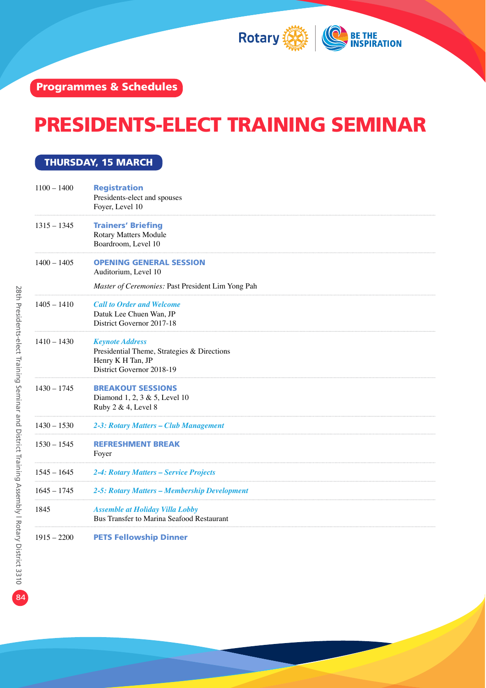

## PRESIDENTS-ELECT TRAINING SEMINAR

#### THURSDAY, 15 MARCH

| $1100 - 1400$ | <b>Registration</b><br>Presidents-elect and spouses<br>Foyer, Level 10                                                  |
|---------------|-------------------------------------------------------------------------------------------------------------------------|
| $1315 - 1345$ | <b>Trainers' Briefing</b><br>Rotary Matters Module<br>Boardroom, Level 10                                               |
| $1400 - 1405$ | <b>OPENING GENERAL SESSION</b><br>Auditorium, Level 10<br>Master of Ceremonies: Past President Lim Yong Pah             |
| $1405 - 1410$ | <b>Call to Order and Welcome</b><br>Datuk Lee Chuen Wan, JP<br>District Governor 2017-18                                |
| $1410 - 1430$ | <b>Keynote Address</b><br>Presidential Theme, Strategies & Directions<br>Henry K H Tan, JP<br>District Governor 2018-19 |
| $1430 - 1745$ | <b>BREAKOUT SESSIONS</b><br>Diamond 1, 2, 3 & 5, Level 10<br>Ruby 2 & 4, Level 8                                        |
| $1430 - 1530$ | 2-3: Rotary Matters – Club Management                                                                                   |
| $1530 - 1545$ | <b>REFRESHMENT BREAK</b><br>Foyer                                                                                       |
| $1545 - 1645$ | 2-4: Rotary Matters – Service Projects                                                                                  |
| $1645 - 1745$ | 2-5: Rotary Matters – Membership Development                                                                            |
| 1845          | <b>Assemble at Holiday Villa Lobby</b><br>Bus Transfer to Marina Seafood Restaurant                                     |

1915 – 2200 PETS Fellowship Dinner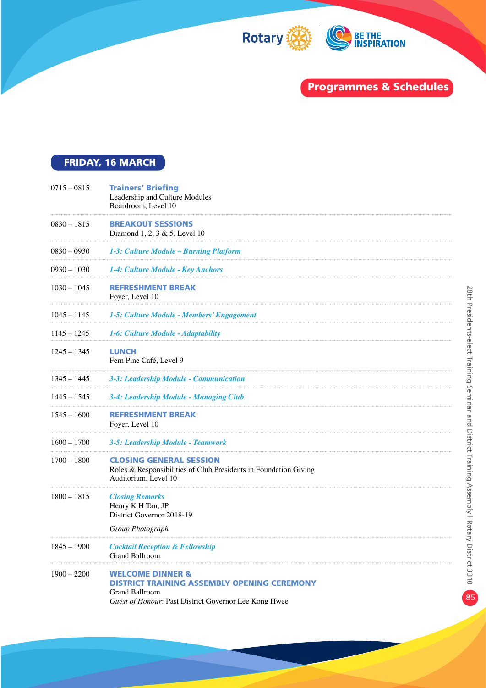

### FRIDAY, 16 MARCH

| $0715 - 0815$ | <b>Trainers' Briefing</b><br>Leadership and Culture Modules<br>Boardroom, Level 10                                                                           |
|---------------|--------------------------------------------------------------------------------------------------------------------------------------------------------------|
| 0830 – 1815   | <b>BREAKOUT SESSIONS</b><br>Diamond $1, 2, 3 \& 5$ , Level 10                                                                                                |
| 0830 – 0930   | 1-3: Culture Module – Burning Platform                                                                                                                       |
| 0930 – 1030   | 1-4: Culture Module - Key Anchors                                                                                                                            |
| $1030 - 1045$ | <b>REFRESHMENT BREAK</b><br>Foyer, Level 10                                                                                                                  |
| $1045 - 1145$ | 1-5: Culture Module - Members' Engagement                                                                                                                    |
| $1145 - 1245$ | 1-6: Culture Module - Adaptability                                                                                                                           |
| 1245 – 1345   | LUNCH<br>Fern Pine Café, Level 9                                                                                                                             |
| 1345 – 1445   | 3-3: Leadership Module - Communication                                                                                                                       |
| 1445 – 1545   | 3-4: Leadership Module - Managing Club                                                                                                                       |
| $1545 - 1600$ | <b>REFRESHMENT BREAK</b><br>Foyer, Level 10                                                                                                                  |
| $1600 - 1700$ | 3-5: Leadership Module - Teamwork                                                                                                                            |
| $1700 - 1800$ | <b>CLOSING GENERAL SESSION</b><br>Roles & Responsibilities of Club Presidents in Foundation Giving<br>Auditorium, Level 10                                   |
| $1800 - 1815$ | <b>Closing Remarks</b><br>Henry K H Tan, JP<br>District Governor 2018-19<br>Group Photograph                                                                 |
| $1845 - 1900$ | <b>Cocktail Reception &amp; Fellowship</b><br>Grand Ballroom                                                                                                 |
| $1900 - 2200$ | <b>WELCOME DINNER &amp;</b><br><b>DISTRICT TRAINING ASSEMBLY OPENING CEREMONY</b><br>Grand Ballroom<br>Guest of Honour: Past District Governor Lee Kong Hwee |
|               |                                                                                                                                                              |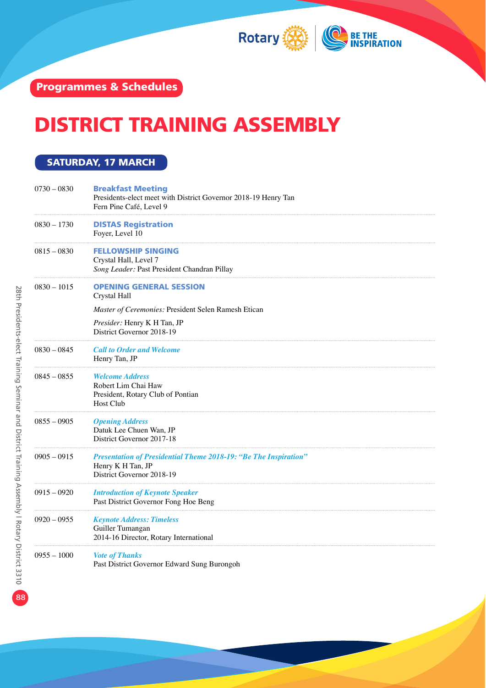

# DISTRICT TRAINING ASSEMBLY

#### SATURDAY, 17 MARCH

| $0730 - 0830$ | <b>Breakfast Meeting</b><br>Presidents-elect meet with District Governor 2018-19 Henry Tan<br>Fern Pine Café, Level 9     |
|---------------|---------------------------------------------------------------------------------------------------------------------------|
| $0830 - 1730$ | <b>DISTAS Registration</b><br>Foyer, Level 10                                                                             |
| $0815 - 0830$ | FELLOWSHIP SINGING<br>Crystal Hall, Level 7<br>Song Leader: Past President Chandran Pillay                                |
| $0830 - 1015$ | <b>OPENING GENERAL SESSION</b><br>Crystal Hall                                                                            |
|               | Master of Ceremonies: President Selen Ramesh Etican                                                                       |
|               | Presider: Henry K H Tan, JP<br>District Governor 2018-19                                                                  |
| $0830 - 0845$ | <b>Call to Order and Welcome</b><br>Henry Tan, JP                                                                         |
| $0845 - 0855$ | <b>Welcome Address</b><br>Robert Lim Chai Haw<br>President, Rotary Club of Pontian<br>Host Club                           |
| $0855 - 0905$ | <b>Opening Address</b><br>Datuk Lee Chuen Wan, JP<br>District Governor 2017-18                                            |
| $0905 - 0915$ | <b>Presentation of Presidential Theme 2018-19: "Be The Inspiration"</b><br>Henry K H Tan, JP<br>District Governor 2018-19 |
| $0915 - 0920$ | <b>Introduction of Keynote Speaker</b><br>Past District Governor Fong Hoe Beng                                            |
| $0920 - 0955$ | <b>Keynote Address: Timeless</b><br>Guiller Tumangan<br>2014-16 Director, Rotary International                            |
| $0955 - 1000$ | <b>Vote of Thanks</b><br>Past District Governor Edward Sung Burongoh                                                      |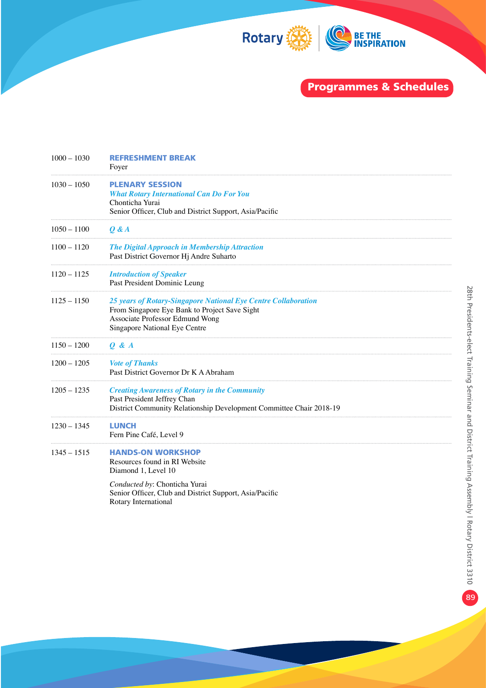

| $1000 - 1030$ | <b>REFRESHMENT BREAK</b><br>Foyer                                                                                                                                                   |
|---------------|-------------------------------------------------------------------------------------------------------------------------------------------------------------------------------------|
| $1030 - 1050$ | <b>PLENARY SESSION</b><br><b>What Rotary International Can Do For You</b><br>Chonticha Yurai<br>Senior Officer, Club and District Support, Asia/Pacific                             |
| $1050 - 1100$ | 0 & A                                                                                                                                                                               |
| $1100 - 1120$ | <b>The Digital Approach in Membership Attraction</b><br>Past District Governor Hj Andre Suharto                                                                                     |
| $1120 - 1125$ | <b>Introduction of Speaker</b><br>Past President Dominic Leung                                                                                                                      |
| $1125 - 1150$ | 25 years of Rotary-Singapore National Eye Centre Collaboration<br>From Singapore Eye Bank to Project Save Sight<br>Associate Professor Edmund Wong<br>Singapore National Eye Centre |
| $1150 - 1200$ | 0 & A                                                                                                                                                                               |
| $1200 - 1205$ | <b>Vote of Thanks</b><br>Past District Governor Dr K A Abraham                                                                                                                      |
| $1205 - 1235$ | <b>Creating Awareness of Rotary in the Community</b><br>Past President Jeffrey Chan<br>District Community Relationship Development Committee Chair 2018-19                          |
| $1230 - 1345$ | <b>LUNCH</b><br>Fern Pine Café, Level 9                                                                                                                                             |
| $1345 - 1515$ | <b>HANDS-ON WORKSHOP</b><br>Resources found in RI Website<br>Diamond 1, Level 10                                                                                                    |
|               | Conducted by: Chonticha Yurai<br>Senior Officer, Club and District Support, Asia/Pacific<br>Rotary International                                                                    |
|               |                                                                                                                                                                                     |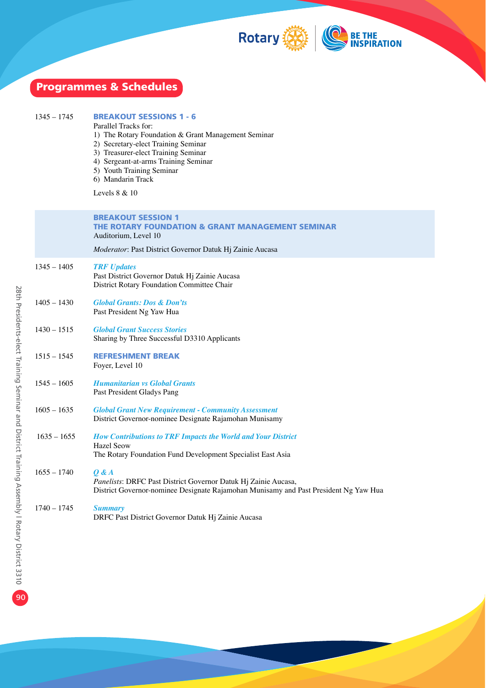

| <b>Programmes &amp; Schedules</b> |               |                                                                                                                                                                                                                                                                                                        |
|-----------------------------------|---------------|--------------------------------------------------------------------------------------------------------------------------------------------------------------------------------------------------------------------------------------------------------------------------------------------------------|
|                                   | $1345 - 1745$ | <b>BREAKOUT SESSIONS 1 - 6</b><br>Parallel Tracks for:<br>1) The Rotary Foundation & Grant Management Seminar<br>2) Secretary-elect Training Seminar<br>3) Treasurer-elect Training Seminar<br>4) Sergeant-at-arms Training Seminar<br>5) Youth Training Seminar<br>6) Mandarin Track<br>Levels 8 & 10 |
|                                   |               | <b>BREAKOUT SESSION 1</b><br>THE ROTARY FOUNDATION & GRANT MANAGEMENT SEMINAR<br>Auditorium, Level 10                                                                                                                                                                                                  |
|                                   |               | Moderator: Past District Governor Datuk Hj Zainie Aucasa                                                                                                                                                                                                                                               |
|                                   | $1345 - 1405$ | <b>TRF</b> Updates<br>Past District Governor Datuk Hj Zainie Aucasa<br>District Rotary Foundation Committee Chair                                                                                                                                                                                      |
|                                   | $1405 - 1430$ | <b>Global Grants: Dos &amp; Don'ts</b><br>Past President Ng Yaw Hua                                                                                                                                                                                                                                    |
|                                   | $1430 - 1515$ | <b>Global Grant Success Stories</b><br>Sharing by Three Successful D3310 Applicants                                                                                                                                                                                                                    |
|                                   | $1515 - 1545$ | <b>REFRESHMENT BREAK</b><br>Foyer, Level 10                                                                                                                                                                                                                                                            |
|                                   | $1545 - 1605$ | <b>Humanitarian vs Global Grants</b><br>Past President Gladys Pang                                                                                                                                                                                                                                     |
|                                   | $1605 - 1635$ | <b>Global Grant New Requirement - Community Assessment</b><br>District Governor-nominee Designate Rajamohan Munisamy                                                                                                                                                                                   |
|                                   | $1635 - 1655$ | <b>How Contributions to TRF Impacts the World and Your District</b><br><b>Hazel Seow</b><br>The Rotary Foundation Fund Development Specialist East Asia                                                                                                                                                |
|                                   | $1655 - 1740$ | $Q$ & $A$<br>Panelists: DRFC Past District Governor Datuk Hj Zainie Aucasa,<br>District Governor-nominee Designate Rajamohan Munisamy and Past President Ng Yaw Hua                                                                                                                                    |
|                                   | $1740 - 1745$ | <b>Summary</b><br>DRFC Past District Governor Datuk Hj Zainie Aucasa                                                                                                                                                                                                                                   |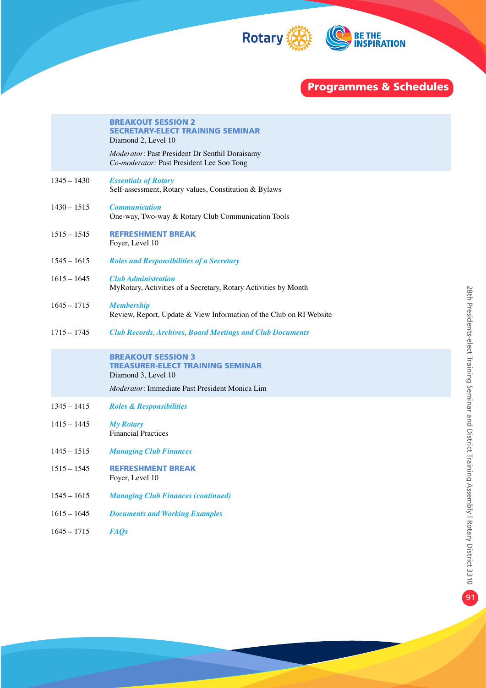

|               | <b>BREAKOUT SESSION 2</b><br><b>SECRETARY-ELECT TRAINING SEMINAR</b><br>Diamond 2, Level 10<br>Moderator: Past President Dr Senthil Doraisamy<br>Co-moderator: Past President Lee Soo Tong |
|---------------|--------------------------------------------------------------------------------------------------------------------------------------------------------------------------------------------|
| $1345 - 1430$ | <b>Essentials of Rotary</b><br>Self-assessment, Rotary values, Constitution & Bylaws                                                                                                       |
| $1430 - 1515$ | <b>Communication</b><br>One-way, Two-way & Rotary Club Communication Tools                                                                                                                 |
| $1515 - 1545$ | <b>REFRESHMENT BREAK</b><br>Foyer, Level 10                                                                                                                                                |
| $1545 - 1615$ | <b>Roles and Responsibilities of a Secretary</b>                                                                                                                                           |
| $1615 - 1645$ | <b>Club Administration</b><br>MyRotary, Activities of a Secretary, Rotary Activities by Month                                                                                              |
| $1645 - 1715$ | <b>Membership</b><br>Review, Report, Update & View Information of the Club on RI Website                                                                                                   |
| $1715 - 1745$ | <b>Club Records, Archives, Board Meetings and Club Documents</b>                                                                                                                           |
|               | <b>BREAKOUT SESSION 3</b><br><b>TREASURER-ELECT TRAINING SEMINAR</b><br>Diamond 3, Level 10                                                                                                |
|               | <i>Moderator</i> : Immediate Past President Monica Lim                                                                                                                                     |
| $1345 - 1415$ | <b>Roles &amp; Responsibilities</b>                                                                                                                                                        |
| $1415 - 1445$ | <b>My Rotary</b><br><b>Financial Practices</b>                                                                                                                                             |
| $1445 - 1515$ | <b>Managing Club Finances</b>                                                                                                                                                              |
| $1515 - 1545$ | <b>REFRESHMENT BREAK</b><br>Foyer, Level 10                                                                                                                                                |
| $1545 - 1615$ | <b>Managing Club Finances (continued)</b>                                                                                                                                                  |
| $1615 - 1645$ | <b>Documents and Working Examples</b>                                                                                                                                                      |
| $1645 - 1715$ | <b>FAQs</b>                                                                                                                                                                                |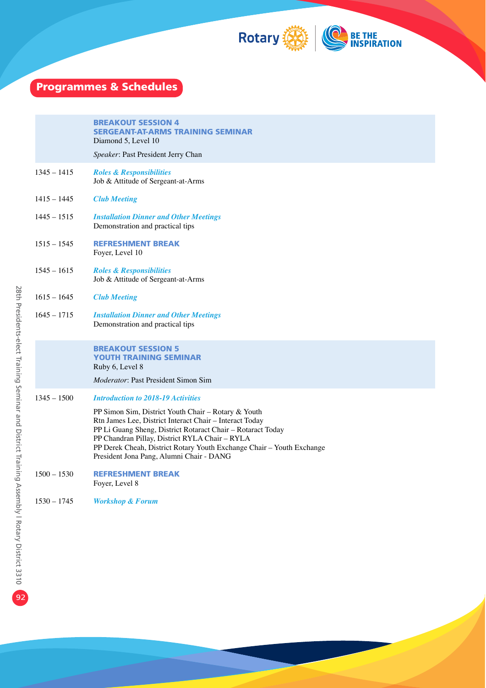

|               | <b>BREAKOUT SESSION 4</b><br><b>SERGEANT-AT-ARMS TRAINING SEMINAR</b><br>Diamond 5, Level 10<br>Speaker: Past President Jerry Chan                                                                                                                                                                                                                                                                |
|---------------|---------------------------------------------------------------------------------------------------------------------------------------------------------------------------------------------------------------------------------------------------------------------------------------------------------------------------------------------------------------------------------------------------|
| $1345 - 1415$ | <b>Roles &amp; Responsibilities</b><br>Job & Attitude of Sergeant-at-Arms                                                                                                                                                                                                                                                                                                                         |
| 1415 – 1445   | <b>Club Meeting</b>                                                                                                                                                                                                                                                                                                                                                                               |
| $1445 - 1515$ | <b>Installation Dinner and Other Meetings</b><br>Demonstration and practical tips                                                                                                                                                                                                                                                                                                                 |
| $1515 - 1545$ | <b>REFRESHMENT BREAK</b><br>Foyer, Level 10                                                                                                                                                                                                                                                                                                                                                       |
| $1545 - 1615$ | <b>Roles &amp; Responsibilities</b><br>Job & Attitude of Sergeant-at-Arms                                                                                                                                                                                                                                                                                                                         |
| $1615 - 1645$ | <b>Club Meeting</b>                                                                                                                                                                                                                                                                                                                                                                               |
| $1645 - 1715$ | <b>Installation Dinner and Other Meetings</b><br>Demonstration and practical tips                                                                                                                                                                                                                                                                                                                 |
|               | <b>BREAKOUT SESSION 5</b><br><b>YOUTH TRAINING SEMINAR</b><br>Ruby 6, Level 8                                                                                                                                                                                                                                                                                                                     |
|               | <i>Moderator</i> : Past President Simon Sim                                                                                                                                                                                                                                                                                                                                                       |
| $1345 - 1500$ | <b>Introduction to 2018-19 Activities</b><br>PP Simon Sim, District Youth Chair - Rotary & Youth<br>Rtn James Lee, District Interact Chair - Interact Today<br>PP Li Guang Sheng, District Rotaract Chair - Rotaract Today<br>PP Chandran Pillay, District RYLA Chair - RYLA<br>PP Derek Cheah, District Rotary Youth Exchange Chair - Youth Exchange<br>President Jona Pang, Alumni Chair - DANG |
| $1500 - 1530$ | <b>REFRESHMENT BREAK</b><br>Foyer, Level 8                                                                                                                                                                                                                                                                                                                                                        |
| $1530 - 1745$ | <b>Workshop &amp; Forum</b>                                                                                                                                                                                                                                                                                                                                                                       |
|               |                                                                                                                                                                                                                                                                                                                                                                                                   |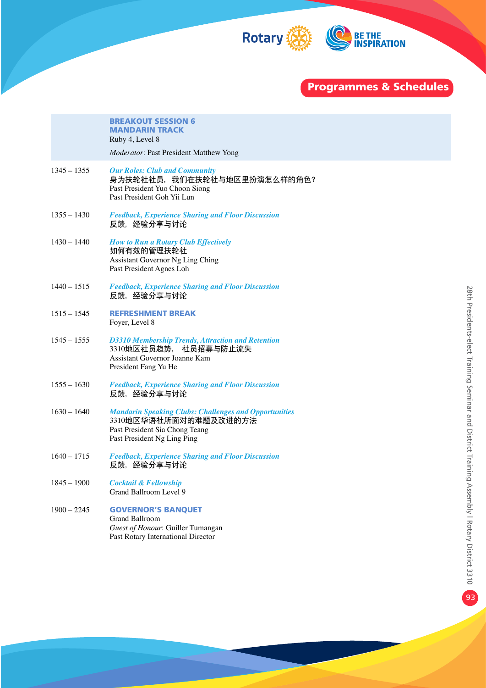

|               | <b>BREAKOUT SESSION 6</b><br><b>MANDARIN TRACK</b><br>Ruby 4, Level 8<br>Moderator: Past President Matthew Yong                                        |
|---------------|--------------------------------------------------------------------------------------------------------------------------------------------------------|
| $1345 - 1355$ | <b>Our Roles: Club and Community</b><br>身为扶轮社社员,我们在扶轮社与地区里扮演怎么样的角色?<br>Past President Yuo Choon Siong<br>Past President Goh Yii Lun                    |
| $1355 - 1430$ | <b>Feedback, Experience Sharing and Floor Discussion</b><br>反馈,经验分享与讨论                                                                                 |
| $1430 - 1440$ | <b>How to Run a Rotary Club Effectively</b><br>如何有效的管理扶轮社<br>Assistant Governor Ng Ling Ching<br>Past President Agnes Loh                              |
| $1440 - 1515$ | <b>Feedback, Experience Sharing and Floor Discussion</b><br>反馈,经验分享与讨论                                                                                 |
| $1515 - 1545$ | <b>REFRESHMENT BREAK</b><br>Foyer, Level 8                                                                                                             |
| $1545 - 1555$ | <b>D3310 Membership Trends, Attraction and Retention</b><br>3310地区社员趋势, 社员招募与防止流失<br>Assistant Governor Joanne Kam<br>President Fang Yu He             |
| $1555 - 1630$ | <b>Feedback, Experience Sharing and Floor Discussion</b><br>反馈,经验分享与讨论                                                                                 |
| $1630 - 1640$ | <b>Mandarin Speaking Clubs: Challenges and Opportunities</b><br>3310地区华语社所面对的难题及改进的方法<br>Past President Sia Chong Teang<br>Past President Ng Ling Ping |
| $1640 - 1715$ | <b>Feedback, Experience Sharing and Floor Discussion</b><br>反馈,经验分享与讨论                                                                                 |
| $1845 - 1900$ | <b>Cocktail &amp; Fellowship</b><br>Grand Ballroom Level 9                                                                                             |
| $1900 - 2245$ | <b>GOVERNOR'S BANQUET</b><br><b>Grand Ballroom</b><br>Guest of Honour: Guiller Tumangan<br>Past Rotary International Director                          |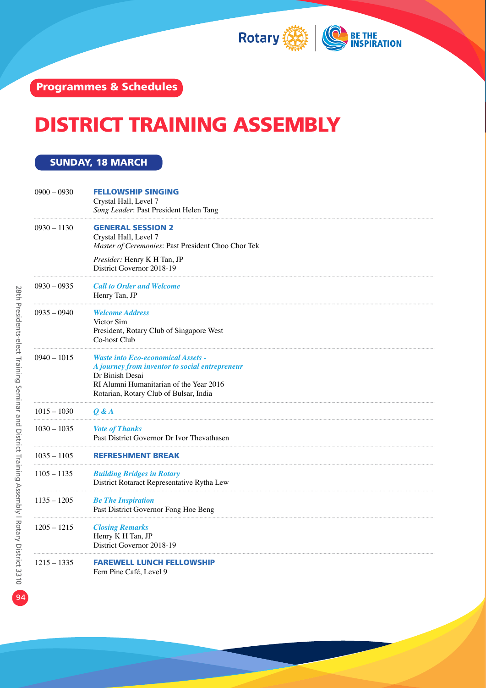

## DISTRICT TRAINING ASSEMBLY

#### SUNDAY, 18 MARCH

| $0900 - 0930$ | <b>FELLOWSHIP SINGING</b><br>Crystal Hall, Level 7<br>Song Leader: Past President Helen Tang                                                                                                        |
|---------------|-----------------------------------------------------------------------------------------------------------------------------------------------------------------------------------------------------|
| $0930 - 1130$ | <b>GENERAL SESSION 2</b><br>Crystal Hall, Level 7<br>Master of Ceremonies: Past President Choo Chor Tek                                                                                             |
|               | Presider: Henry K H Tan, JP<br>District Governor 2018-19                                                                                                                                            |
| $0930 - 0935$ | <b>Call to Order and Welcome</b><br>Henry Tan, JP                                                                                                                                                   |
| $0935 - 0940$ | <b>Welcome Address</b><br>Victor Sim<br>President, Rotary Club of Singapore West<br>Co-host Club                                                                                                    |
| $0940 - 1015$ | <b>Waste into Eco-economical Assets -</b><br>A journey from inventor to social entrepreneur<br>Dr Binish Desai<br>RI Alumni Humanitarian of the Year 2016<br>Rotarian, Rotary Club of Bulsar, India |
| $1015 - 1030$ | Q & A                                                                                                                                                                                               |
| $1030 - 1035$ | <b>Vote of Thanks</b><br>Past District Governor Dr Ivor Thevathasen                                                                                                                                 |
| $1035 - 1105$ | REFRESHMENT BREAK                                                                                                                                                                                   |
| $1105 - 1135$ | <b>Building Bridges in Rotary</b><br>District Rotaract Representative Rytha Lew                                                                                                                     |
| $1135 - 1205$ | <b>Be The Inspiration</b><br>Past District Governor Fong Hoe Beng                                                                                                                                   |
| $1205 - 1215$ | <b>Closing Remarks</b><br>Henry K H Tan, JP<br>District Governor 2018-19                                                                                                                            |
| $1215 - 1335$ | <b>FAREWELL LUNCH FELLOWSHIP</b><br>Fern Pine Café, Level 9                                                                                                                                         |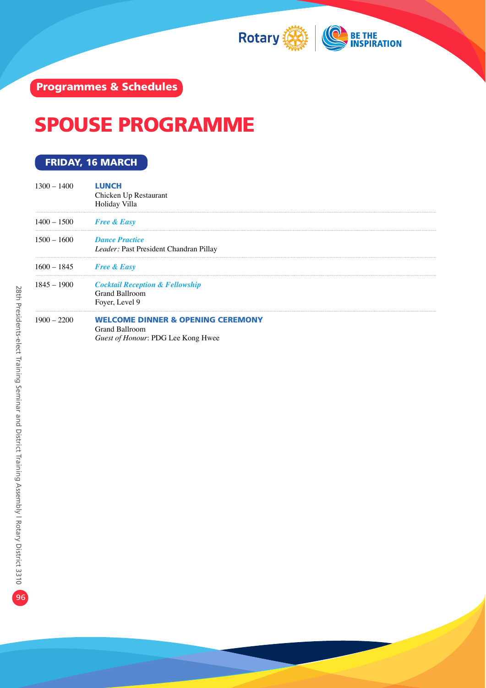

## SPOUSE PROGRAMME

### FRIDAY, 16 MARCH

| $1300 - 1400$ | <b>LUNCH</b><br>Chicken Up Restaurant<br>Holiday Villa                                               |
|---------------|------------------------------------------------------------------------------------------------------|
| $1400 - 1500$ | <b>Free &amp; Easy</b>                                                                               |
| $1500 - 1600$ | <b>Dance Practice</b><br>Leader: Past President Chandran Pillay                                      |
| $1600 - 1845$ | <b>Free &amp; Easy</b>                                                                               |
| $1845 - 1900$ | <b>Cocktail Reception &amp; Fellowship</b><br><b>Grand Ballroom</b><br>Foyer, Level 9                |
| $1900 - 2200$ | <b>WELCOME DINNER &amp; OPENING CEREMONY</b><br>Grand Ballroom<br>Guest of Honour: PDG Lee Kong Hwee |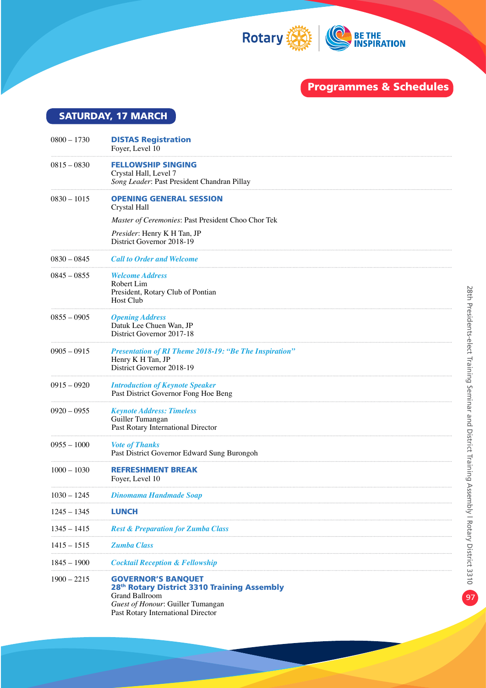

SATURDAY, 17 MARCH

| $0800 - 1730$ | <b>DISTAS Registration</b><br>Foyer, Level 10                                                                                                                                |
|---------------|------------------------------------------------------------------------------------------------------------------------------------------------------------------------------|
| $0815 - 0830$ | <b>FELLOWSHIP SINGING</b><br>Crystal Hall, Level 7<br>Song Leader: Past President Chandran Pillay                                                                            |
| $0830 - 1015$ | <b>OPENING GENERAL SESSION</b><br>Crystal Hall                                                                                                                               |
|               | Master of Ceremonies: Past President Choo Chor Tek                                                                                                                           |
|               | Presider: Henry K H Tan, JP<br>District Governor 2018-19                                                                                                                     |
| $0830 - 0845$ | <b>Call to Order and Welcome</b>                                                                                                                                             |
| $0845 - 0855$ | <b>Welcome Address</b><br>Robert Lim<br>President, Rotary Club of Pontian<br>Host Club                                                                                       |
| $0855 - 0905$ | <b>Opening Address</b><br>Datuk Lee Chuen Wan, JP<br>District Governor 2017-18                                                                                               |
| $0905 - 0915$ | <b>Presentation of RI Theme 2018-19: "Be The Inspiration"</b><br>Henry K H Tan, JP<br>District Governor 2018-19                                                              |
| $0915 - 0920$ | <b>Introduction of Keynote Speaker</b><br>Past District Governor Fong Hoe Beng                                                                                               |
| $0920 - 0955$ | <b>Keynote Address: Timeless</b><br>Guiller Tumangan<br>Past Rotary International Director                                                                                   |
| $0955 - 1000$ | <b>Vote of Thanks</b><br>Past District Governor Edward Sung Burongoh                                                                                                         |
| $1000 - 1030$ | <b>REFRESHMENT BREAK</b><br>Foyer, Level 10                                                                                                                                  |
| $1030 - 1245$ | <b>Dinomama Handmade Soap</b>                                                                                                                                                |
| $1245 - 1345$ | <b>LUNCH</b>                                                                                                                                                                 |
| $1345 - 1415$ | <b>Rest &amp; Preparation for Zumba Class</b>                                                                                                                                |
| $1415 - 1515$ | <b>Zumba Class</b>                                                                                                                                                           |
| 1845 – 1900   | <b>Cocktail Reception &amp; Fellowship</b>                                                                                                                                   |
| $1900 - 2215$ | <b>GOVERNOR'S BANOUET</b><br>28th Rotary District 3310 Training Assembly<br><b>Grand Ballroom</b><br>Guest of Honour: Guiller Tumangan<br>Past Rotary International Director |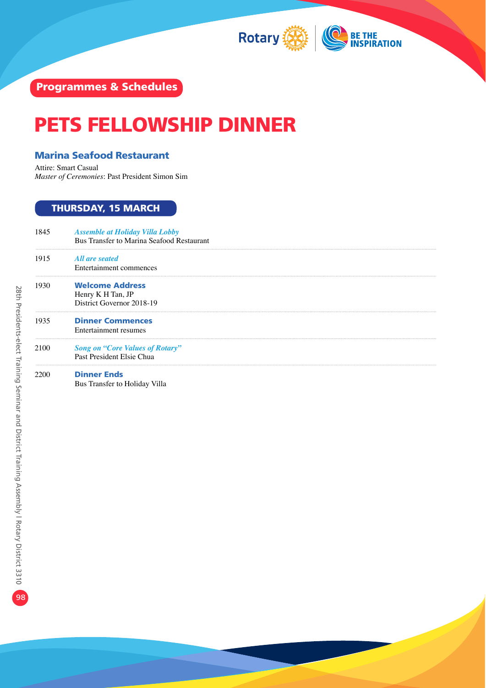

# PETS FELLOWSHIP DINNER

#### Marina Seafood Restaurant

Attire: Smart Casual *Master of Ceremonies*: Past President Simon Sim

### THURSDAY, 15 MARCH

| 1845 | <b>Assemble at Holiday Villa Lobby</b><br>Bus Transfer to Marina Seafood Restaurant |
|------|-------------------------------------------------------------------------------------|
| 1915 | All are seated<br>Entertainment commences                                           |
| 1930 | <b>Welcome Address</b><br>Henry K H Tan, JP<br>District Governor 2018-19            |
| 1935 | <b>Dinner Commences</b><br>Entertainment resumes                                    |
| 2100 | <b>Song on "Core Values of Rotary"</b><br>Past President Elsie Chua                 |
| 2200 | <b>Dinner Ends</b><br>Bus Transfer to Holiday Villa                                 |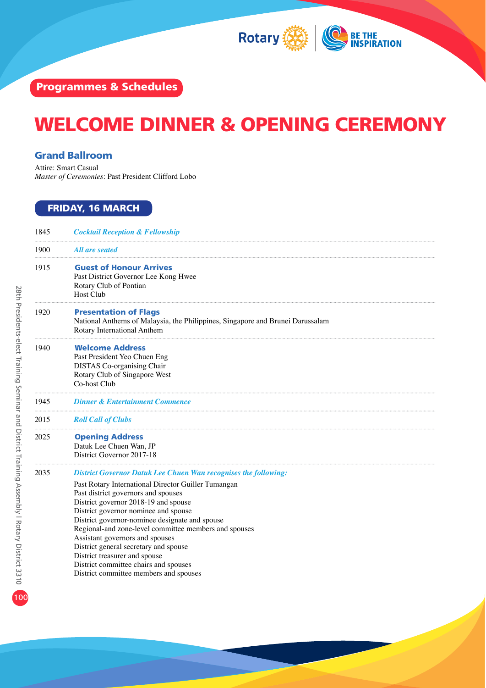

## WELCOME DINNER & OPENING CEREMONY

#### Grand Ballroom

Attire: Smart Casual *Master of Ceremonies*: Past President Clifford Lobo

### FRIDAY, 16 MARCH

| 1845 | <b>Cocktail Reception &amp; Fellowship</b>                                                                                                                                                                                                                                                                                                                                                                                                                                                                                                                      |
|------|-----------------------------------------------------------------------------------------------------------------------------------------------------------------------------------------------------------------------------------------------------------------------------------------------------------------------------------------------------------------------------------------------------------------------------------------------------------------------------------------------------------------------------------------------------------------|
| 1900 | All are seated                                                                                                                                                                                                                                                                                                                                                                                                                                                                                                                                                  |
| 1915 | <b>Guest of Honour Arrives</b><br>Past District Governor Lee Kong Hwee<br>Rotary Club of Pontian<br>Host Club                                                                                                                                                                                                                                                                                                                                                                                                                                                   |
| 1920 | <b>Presentation of Flags</b><br>National Anthems of Malaysia, the Philippines, Singapore and Brunei Darussalam<br>Rotary International Anthem                                                                                                                                                                                                                                                                                                                                                                                                                   |
| 1940 | <b>Welcome Address</b><br>Past President Yeo Chuen Eng<br><b>DISTAS</b> Co-organising Chair<br>Rotary Club of Singapore West<br>Co-host Club                                                                                                                                                                                                                                                                                                                                                                                                                    |
| 1945 | <b>Dinner &amp; Entertainment Commence</b>                                                                                                                                                                                                                                                                                                                                                                                                                                                                                                                      |
| 2015 | <b>Roll Call of Clubs</b>                                                                                                                                                                                                                                                                                                                                                                                                                                                                                                                                       |
| 2025 | <b>Opening Address</b><br>Datuk Lee Chuen Wan, JP<br>District Governor 2017-18                                                                                                                                                                                                                                                                                                                                                                                                                                                                                  |
| 2035 | <b>District Governor Datuk Lee Chuen Wan recognises the following:</b><br>Past Rotary International Director Guiller Tumangan<br>Past district governors and spouses<br>District governor 2018-19 and spouse<br>District governor nominee and spouse<br>District governor-nominee designate and spouse<br>Regional-and zone-level committee members and spouses<br>Assistant governors and spouses<br>District general secretary and spouse<br>District treasurer and spouse<br>District committee chairs and spouses<br>District committee members and spouses |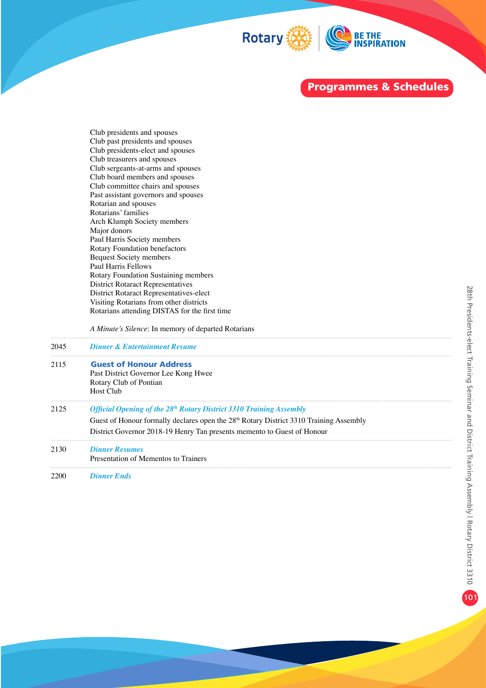

Club presidents and spouses Club past presidents and spouses Club presidents-elect and spouses Club treasurers and spouses Club sergeants-at-arms and spouses Club board members and spouses Club committee chairs and spouses Past assistant governors and spouses Rotarian and spouses Rotarians' families Arch Klumph Society members Major donors Paul Harris Society members Rotary Foundation benefactors Bequest Society members Paul Harris Fellows Rotary Foundation Sustaining members District Rotaract Representatives District Rotaract Representatives-elect Visiting Rotarians from other districts Rotarians attending DISTAS for the first time

 *A Minute's Silence*: In memory of departed Rotarians

| 2045 | <b>Dinner &amp; Entertainment Resume</b>                                                 |
|------|------------------------------------------------------------------------------------------|
| 2115 | <b>Guest of Honour Address</b>                                                           |
|      | Past District Governor Lee Kong Hwee                                                     |
|      | Rotary Club of Pontian                                                                   |
|      | Host Club                                                                                |
| 2125 | Official Opening of the 28 <sup>th</sup> Rotary District 3310 Training Assembly          |
|      | Guest of Honour formally declares open the $28th$ Rotary District 3310 Training Assembly |
|      | District Governor 2018-19 Henry Tan presents memento to Guest of Honour                  |
| 2130 | <b>Dinner Resumes</b>                                                                    |
|      | Presentation of Mementos to Trainers                                                     |
|      | --                                                                                       |

2200 *Dinner Ends*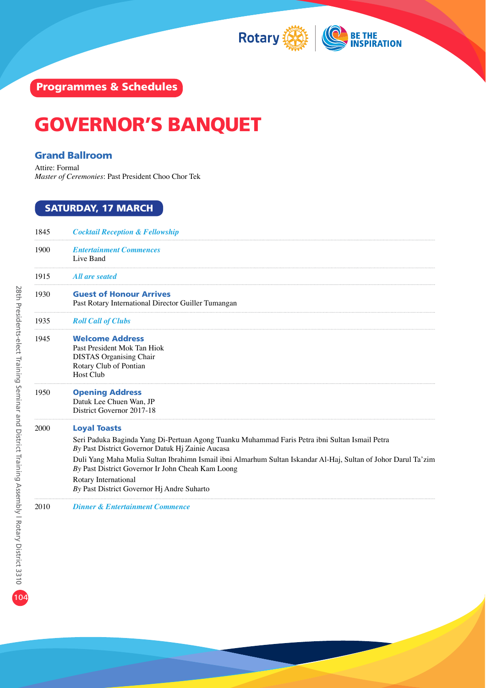

### GOVERNOR'S BANQUET

#### Grand Ballroom

Attire: Formal *Master of Ceremonies*: Past President Choo Chor Tek

### SATURDAY, 17 MARCH

| 1845 | <b>Cocktail Reception &amp; Fellowship</b>                                                                                                                                                                                                                                                                                                                                                                             |
|------|------------------------------------------------------------------------------------------------------------------------------------------------------------------------------------------------------------------------------------------------------------------------------------------------------------------------------------------------------------------------------------------------------------------------|
| 1900 | <b>Entertainment Commences</b><br>Live Band                                                                                                                                                                                                                                                                                                                                                                            |
| 1915 | All are seated                                                                                                                                                                                                                                                                                                                                                                                                         |
| 1930 | <b>Guest of Honour Arrives</b><br>Past Rotary International Director Guiller Tumangan                                                                                                                                                                                                                                                                                                                                  |
| 1935 | <b>Roll Call of Clubs</b>                                                                                                                                                                                                                                                                                                                                                                                              |
| 1945 | <b>Welcome Address</b><br>Past President Mok Tan Hiok<br><b>DISTAS</b> Organising Chair<br>Rotary Club of Pontian<br><b>Host Club</b>                                                                                                                                                                                                                                                                                  |
| 1950 | <b>Opening Address</b><br>Datuk Lee Chuen Wan, JP<br>District Governor 2017-18                                                                                                                                                                                                                                                                                                                                         |
| 2000 | <b>Loyal Toasts</b><br>Seri Paduka Baginda Yang Di-Pertuan Agong Tuanku Muhammad Faris Petra ibni Sultan Ismail Petra<br>By Past District Governor Datuk Hj Zainie Aucasa<br>Duli Yang Maha Mulia Sultan Ibrahimn Ismail ibni Almarhum Sultan Iskandar Al-Haj, Sultan of Johor Darul Ta'zim<br>By Past District Governor Ir John Cheah Kam Loong<br>Rotary International<br>By Past District Governor Hj Andre Suharto |
| 2010 | <b>Dinner &amp; Entertainment Commence</b>                                                                                                                                                                                                                                                                                                                                                                             |